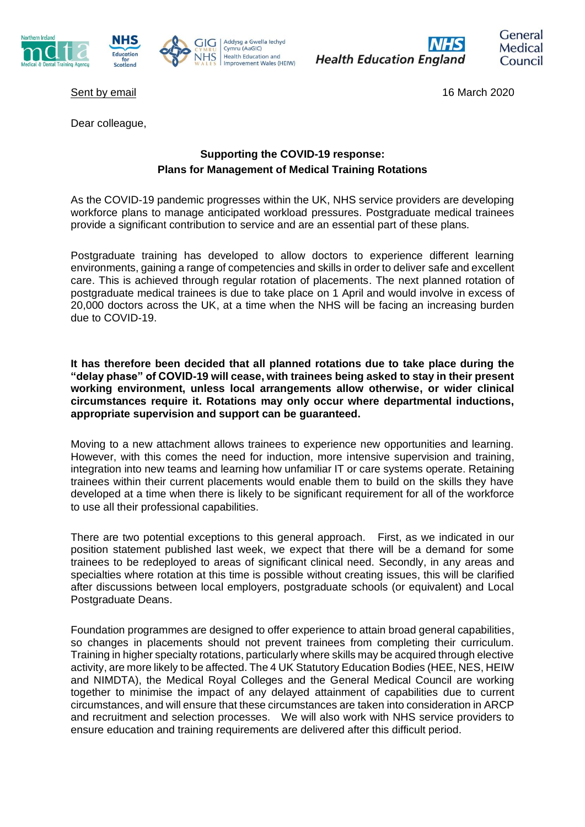





**Health Education England** 



Sent by email 16 March 2020 Sent by email 16 March 2020

Dear colleague,

## **Supporting the COVID-19 response: Plans for Management of Medical Training Rotations**

As the COVID-19 pandemic progresses within the UK, NHS service providers are developing workforce plans to manage anticipated workload pressures. Postgraduate medical trainees provide a significant contribution to service and are an essential part of these plans.

Postgraduate training has developed to allow doctors to experience different learning environments, gaining a range of competencies and skills in order to deliver safe and excellent care. This is achieved through regular rotation of placements. The next planned rotation of postgraduate medical trainees is due to take place on 1 April and would involve in excess of 20,000 doctors across the UK, at a time when the NHS will be facing an increasing burden due to COVID-19.

**It has therefore been decided that all planned rotations due to take place during the "delay phase" of COVID-19 will cease, with trainees being asked to stay in their present working environment, unless local arrangements allow otherwise, or wider clinical circumstances require it. Rotations may only occur where departmental inductions, appropriate supervision and support can be guaranteed.**

Moving to a new attachment allows trainees to experience new opportunities and learning. However, with this comes the need for induction, more intensive supervision and training, integration into new teams and learning how unfamiliar IT or care systems operate. Retaining trainees within their current placements would enable them to build on the skills they have developed at a time when there is likely to be significant requirement for all of the workforce to use all their professional capabilities.

There are two potential exceptions to this general approach. First, as we indicated in our position statement published last week, we expect that there will be a demand for some trainees to be redeployed to areas of significant clinical need. Secondly, in any areas and specialties where rotation at this time is possible without creating issues, this will be clarified after discussions between local employers, postgraduate schools (or equivalent) and Local Postgraduate Deans.

Foundation programmes are designed to offer experience to attain broad general capabilities, so changes in placements should not prevent trainees from completing their curriculum. Training in higher specialty rotations, particularly where skills may be acquired through elective activity, are more likely to be affected. The 4 UK Statutory Education Bodies (HEE, NES, HEIW and NIMDTA), the Medical Royal Colleges and the General Medical Council are working together to minimise the impact of any delayed attainment of capabilities due to current circumstances, and will ensure that these circumstances are taken into consideration in ARCP and recruitment and selection processes. We will also work with NHS service providers to ensure education and training requirements are delivered after this difficult period.